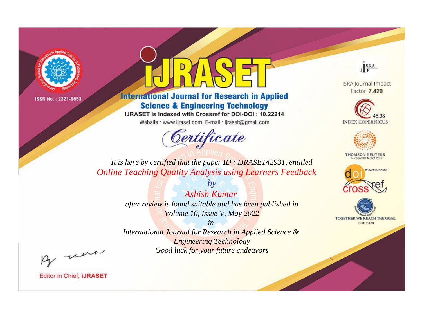



**International Journal for Research in Applied Science & Engineering Technology** 

IJRASET is indexed with Crossref for DOI-DOI: 10.22214

Website: www.ijraset.com, E-mail: ijraset@gmail.com



JERA

**ISRA Journal Impact** Factor: 7.429





**THOMSON REUTERS** 



TOGETHER WE REACH THE GOAL **SJIF 7.429** 

*It is here by certified that the paper ID : IJRASET42931, entitled Online Teaching Quality Analysis using Learners Feedback*

> *Ashish Kumar after review is found suitable and has been published in Volume 10, Issue V, May 2022*

*by*

*in* 

*International Journal for Research in Applied Science & Engineering Technology Good luck for your future endeavors*

By morn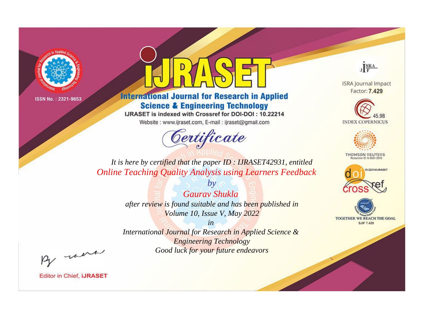



**International Journal for Research in Applied Science & Engineering Technology** 

IJRASET is indexed with Crossref for DOI-DOI: 10.22214

Website: www.ijraset.com, E-mail: ijraset@gmail.com



JERA

**ISRA Journal Impact** Factor: 7.429





**THOMSON REUTERS** 



TOGETHER WE REACH THE GOAL **SJIF 7.429** 

*It is here by certified that the paper ID : IJRASET42931, entitled Online Teaching Quality Analysis using Learners Feedback*

> *by Gaurav Shukla after review is found suitable and has been published in Volume 10, Issue V, May 2022*

> > *in*

*International Journal for Research in Applied Science & Engineering Technology Good luck for your future endeavors*

By morn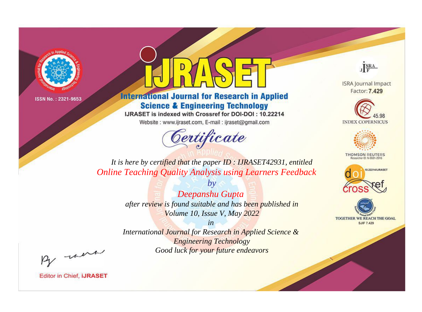

## **International Journal for Research in Applied Science & Engineering Technology**

IJRASET is indexed with Crossref for DOI-DOI: 10.22214

Website: www.ijraset.com, E-mail: ijraset@gmail.com



JERA

**ISRA Journal Impact** Factor: 7.429





**THOMSON REUTERS** 



TOGETHER WE REACH THE GOAL **SJIF 7.429** 

*It is here by certified that the paper ID : IJRASET42931, entitled Online Teaching Quality Analysis using Learners Feedback*

> *Deepanshu Gupta after review is found suitable and has been published in Volume 10, Issue V, May 2022*

*by*

*in* 

*International Journal for Research in Applied Science & Engineering Technology Good luck for your future endeavors*

By morn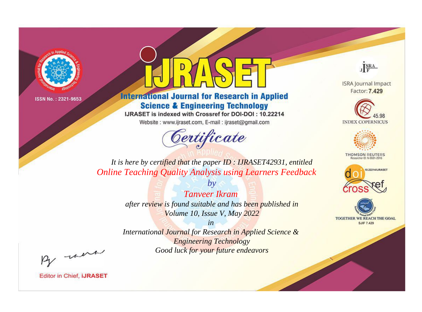



**International Journal for Research in Applied Science & Engineering Technology** 

IJRASET is indexed with Crossref for DOI-DOI: 10.22214

Website: www.ijraset.com, E-mail: ijraset@gmail.com



JERA

**ISRA Journal Impact** Factor: 7.429





**THOMSON REUTERS** 



TOGETHER WE REACH THE GOAL **SJIF 7.429** 

*It is here by certified that the paper ID : IJRASET42931, entitled Online Teaching Quality Analysis using Learners Feedback*

> *Tanveer Ikram after review is found suitable and has been published in Volume 10, Issue V, May 2022*

*by*

*in* 

*International Journal for Research in Applied Science & Engineering Technology Good luck for your future endeavors*

By morn